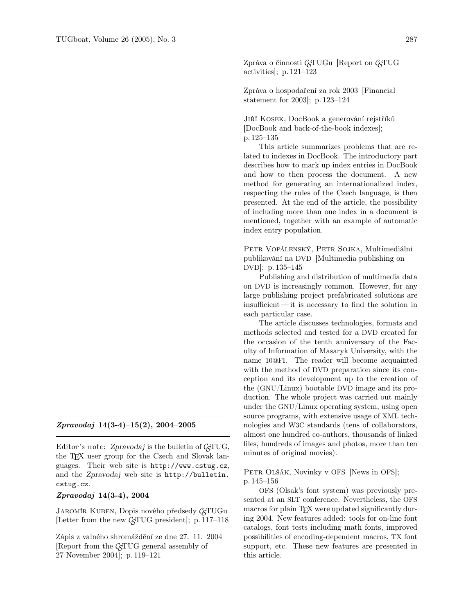Zpráva o činnosti  $\mathcal{C}$ TUGu [Report on  $\mathcal{C}$ TUG activities]; p. 121–123

Zpráva o hospodaření za rok 2003 [Financial statement for 2003]; p. 123–124

Jiří Kosek, DocBook a generování rejstříků [DocBook and back-of-the-book indexes]; p. 125–135

This article summarizes problems that are related to indexes in DocBook. The introductory part describes how to mark up index entries in DocBook and how to then process the document. A new method for generating an internationalized index, respecting the rules of the Czech language, is then presented. At the end of the article, the possibility of including more than one index in a document is mentioned, together with an example of automatic index entry population.

PETR VOPÁLENSKÝ, PETR SOJKA, Multimediální publikování na DVD [Multimedia publishing on DVD]; p. 135–145

Publishing and distribution of multimedia data on DVD is increasingly common. However, for any large publishing project prefabricated solutions are insufficient— it is necessary to find the solution in each particular case.

The article discusses technologies, formats and methods selected and tested for a DVD created for the occasion of the tenth anniversary of the Faculty of Information of Masaryk University, with the name 10@FI. The reader will become acquainted with the method of DVD preparation since its conception and its development up to the creation of the (GNU/Linux) bootable DVD image and its production. The whole project was carried out mainly under the GNU/Linux operating system, using open source programs, with extensive usage of XML technologies and W3C standards (tens of collaborators, almost one hundred co-authors, thousands of linked files, hundreds of images and photos, more than ten minutes of original movies).

PETR OLŠÁK, Novinky v OFS [News in OFS]; p. 145–156

OFS (Olsak's font system) was previously presented at an SLT conference. Nevertheless, the OFS macros for plain T<sub>E</sub>X were updated significantly during 2004. New features added: tools for on-line font catalogs, font tests including math fonts, improved possibilities of encoding-dependent macros, TX font support, etc. These new features are presented in this article.

## Zpravodaj 14(3-4)–15(2), 2004–2005

Editor's note: Zpravodaj is the bulletin of  $\mathcal{C}$  TUG, the TEX user group for the Czech and Slovak languages. Their web site is http://www.cstug.cz, and the Zpravodaj web site is http://bulletin. cstug.cz.

## Zpravodaj 14(3-4), 2004

JAROMÍR KUBEN, Dopis nového předsedy GTUGu [Letter from the new  $\mathcal{G}TUG$  president]; p. 117–118

Zápis z valného shromáždění ze dne 27. 11. 2004 Report from the  $\mathcal{L}$ TUG general assembly of 27 November 2004]; p. 119–121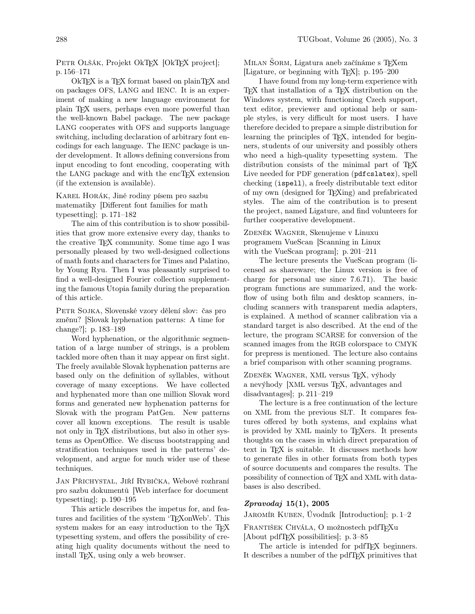PETR OLŠÁK, Projekt OkTEX [OkTEX project]; p. 156–171

OkTEX is a TEX format based on plainTEX and on packages OFS, LANG and IENC. It is an experiment of making a new language environment for plain TEX users, perhaps even more powerful than the well-known Babel package. The new package LANG cooperates with OFS and supports language switching, including declaration of arbitrary font encodings for each language. The IENC package is under development. It allows defining conversions from input encoding to font encoding, cooperating with the LANG package and with the encT<sub>E</sub>X extension (if the extension is available).

Karel Horák, Jiné rodiny písem pro sazbu matematiky [Different font families for math typesetting]; p. 171–182

The aim of this contribution is to show possibilities that grow more extensive every day, thanks to the creative TEX community. Some time ago I was personally pleased by two well-designed collections of math fonts and characters for Times and Palatino, by Young Ryu. Then I was pleasantly surprised to find a well-designed Fourier collection supplementing the famous Utopia family during the preparation of this article.

PETR SOJKA, Slovenské vzory dělení slov: čas pro změnu? [Slovak hyphenation patterns: A time for change?]; p. 183–189

Word hyphenation, or the algorithmic segmentation of a large number of strings, is a problem tackled more often than it may appear on first sight. The freely available Slovak hyphenation patterns are based only on the definition of syllables, without coverage of many exceptions. We have collected and hyphenated more than one million Slovak word forms and generated new hyphenation patterns for Slovak with the program PatGen. New patterns cover all known exceptions. The result is usable not only in TEX distributions, but also in other systems as OpenOffice. We discuss bootstrapping and stratification techniques used in the patterns' development, and argue for much wider use of these techniques.

Jan Přichystal, Jiří Rybička, Webové rozhraní pro sazbu dokumentů [Web interface for document typesetting]; p. 190–195

This article describes the impetus for, and features and facilities of the system 'TEXonWeb'. This system makes for an easy introduction to the T<sub>E</sub>X typesetting system, and offers the possibility of creating high quality documents without the need to install T<sub>E</sub>X, using only a web browser.

MILAN ŠORM, Ligatura aneb začínáme s T<sub>E</sub>Xem [Ligature, or beginning with TEX]; p. 195–200

I have found from my long-term experience with TEX that installation of a TEX distribution on the Windows system, with functioning Czech support, text editor, previewer and optional help or sample styles, is very difficult for most users. I have therefore decided to prepare a simple distribution for learning the principles of T<sub>E</sub>X, intended for beginners, students of our university and possibly others who need a high-quality typesetting system. The distribution consists of the minimal part of T<sub>EX</sub> Live needed for PDF generation (pdfcslatex), spell checking (ispell), a freely distributable text editor of my own (designed for TEXing) and prefabricated styles. The aim of the contribution is to present the project, named Ligature, and find volunteers for further cooperative development.

ZDENĚK WAGNER, Skenujeme v Linuxu programem VueScan [Scanning in Linux with the VueScan program]; p. 201–211

The lecture presents the VueScan program (licensed as shareware; the Linux version is free of charge for personal use since 7.6.71). The basic program functions are summarized, and the workflow of using both film and desktop scanners, including scanners with transparent media adapters, is explained. A method of scanner calibration via a standard target is also described. At the end of the lecture, the program SCARSE for conversion of the scanned images from the RGB colorspace to CMYK for prepress is mentioned. The lecture also contains a brief comparison with other scanning programs.

ZDENĚK WAGNER, XML versus TEX, výhody a nevýhody [XML versus TEX, advantages and disadvantages]; p. 211–219

The lecture is a free continuation of the lecture on XML from the previous SLT. It compares features offered by both systems, and explains what is provided by XML mainly to TEXers. It presents thoughts on the cases in which direct preparation of text in TEX is suitable. It discusses methods how to generate files in other formats from both types of source documents and compares the results. The possibility of connection of TEX and XML with databases is also described.

## Zpravodaj 15(1), 2005

Jaromír Kuben, Úvodník [Introduction]; p. 1–2

FRANTIŠEK CHVÁLA, O možnostech pdfTFXu [About pdfTEX possibilities]; p. 3–85

The article is intended for pdfT<sub>E</sub>X beginners. It describes a number of the pdfTEX primitives that